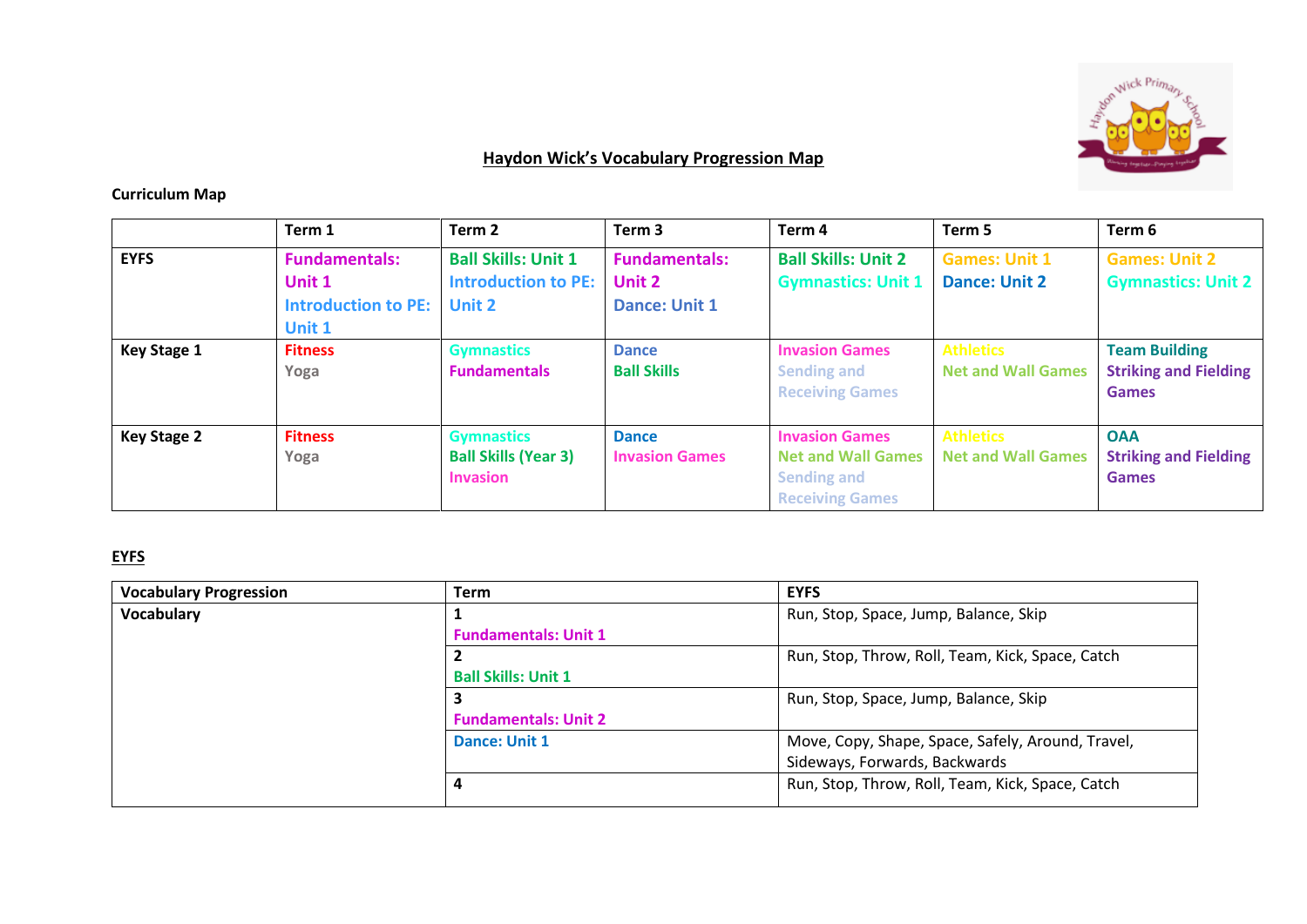

## **Haydon Wick's Vocabulary Progression Map**

## **Curriculum Map**

|                    | Term 1                                                                 | Term 2                                                                    | Term <sub>3</sub>                                      | Term <sub>4</sub>                                                                                  | Term 5                                        | Term 6                                                               |
|--------------------|------------------------------------------------------------------------|---------------------------------------------------------------------------|--------------------------------------------------------|----------------------------------------------------------------------------------------------------|-----------------------------------------------|----------------------------------------------------------------------|
| <b>EYFS</b>        | <b>Fundamentals:</b><br>Unit 1<br><b>Introduction to PE:</b><br>Unit 1 | <b>Ball Skills: Unit 1</b><br><b>Introduction to PE:</b><br><b>Unit 2</b> | <b>Fundamentals:</b><br>Unit 2<br><b>Dance: Unit 1</b> | <b>Ball Skills: Unit 2</b><br><b>Gymnastics: Unit 1</b>                                            | <b>Games: Unit 1</b><br><b>Dance: Unit 2</b>  | <b>Games: Unit 2</b><br><b>Gymnastics: Unit 2</b>                    |
| <b>Key Stage 1</b> | <b>Fitness</b><br>Yoga                                                 | <b>Gymnastics</b><br><b>Fundamentals</b>                                  | <b>Dance</b><br><b>Ball Skills</b>                     | <b>Invasion Games</b><br><b>Sending and</b><br><b>Receiving Games</b>                              | <b>Athletics</b><br><b>Net and Wall Games</b> | <b>Team Building</b><br><b>Striking and Fielding</b><br><b>Games</b> |
| <b>Key Stage 2</b> | <b>Fitness</b><br>Yoga                                                 | <b>Gymnastics</b><br><b>Ball Skills (Year 3)</b><br><b>Invasion</b>       | <b>Dance</b><br><b>Invasion Games</b>                  | <b>Invasion Games</b><br><b>Net and Wall Games</b><br><b>Sending and</b><br><b>Receiving Games</b> | <b>Athletics</b><br><b>Net and Wall Games</b> | <b>OAA</b><br><b>Striking and Fielding</b><br><b>Games</b>           |

## **EYFS**

| <b>Vocabulary Progression</b> | <b>Term</b>                 | <b>EYFS</b>                                       |
|-------------------------------|-----------------------------|---------------------------------------------------|
| <b>Vocabulary</b>             | Ŧ.                          | Run, Stop, Space, Jump, Balance, Skip             |
|                               | <b>Fundamentals: Unit 1</b> |                                                   |
|                               |                             | Run, Stop, Throw, Roll, Team, Kick, Space, Catch  |
|                               | <b>Ball Skills: Unit 1</b>  |                                                   |
|                               |                             | Run, Stop, Space, Jump, Balance, Skip             |
|                               | <b>Fundamentals: Unit 2</b> |                                                   |
|                               | Dance: Unit 1               | Move, Copy, Shape, Space, Safely, Around, Travel, |
|                               |                             | Sideways, Forwards, Backwards                     |
|                               | 4                           | Run, Stop, Throw, Roll, Team, Kick, Space, Catch  |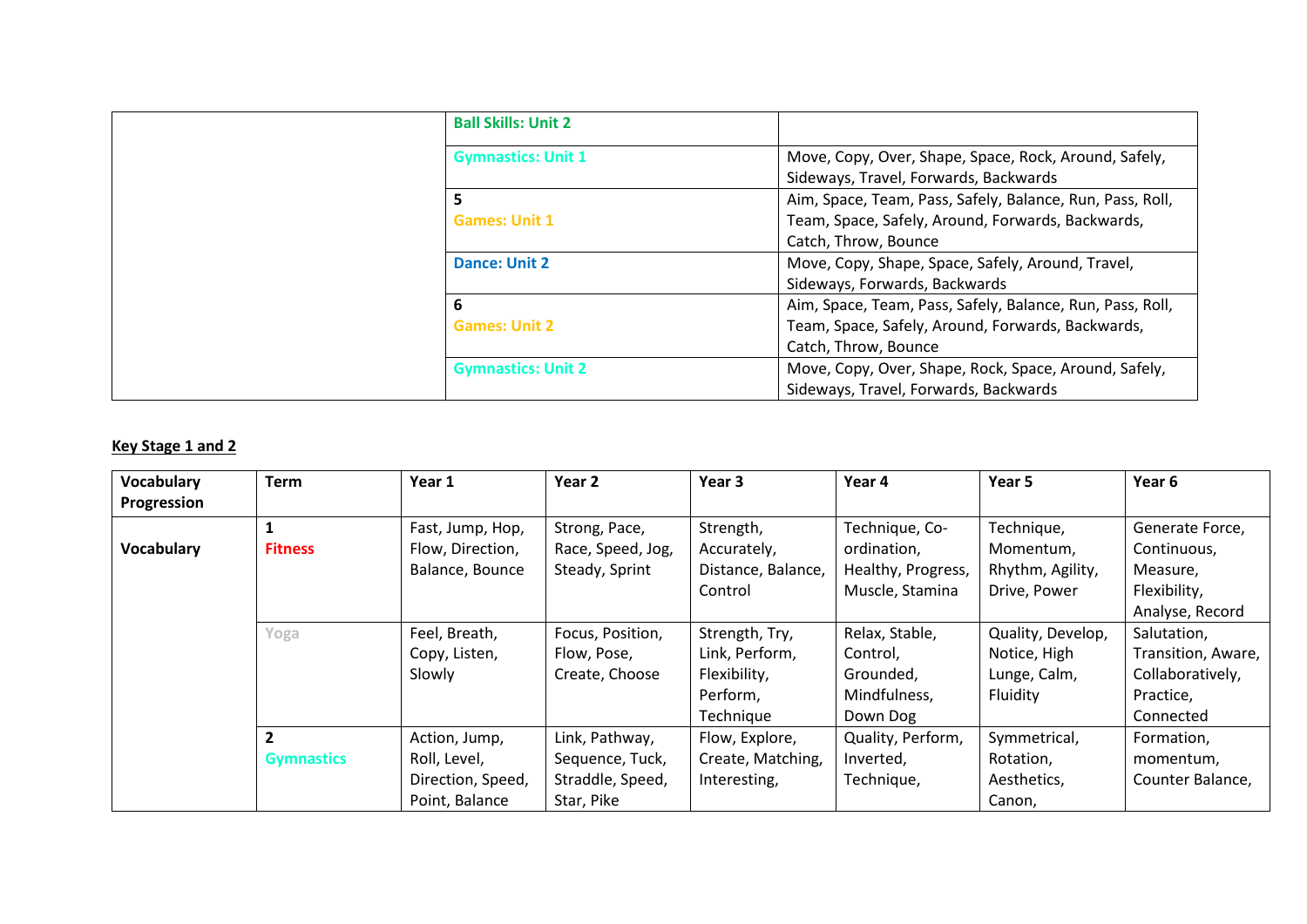| <b>Ball Skills: Unit 2</b> |                                                                                                |
|----------------------------|------------------------------------------------------------------------------------------------|
| <b>Gymnastics: Unit 1</b>  | Move, Copy, Over, Shape, Space, Rock, Around, Safely,<br>Sideways, Travel, Forwards, Backwards |
| 5                          | Aim, Space, Team, Pass, Safely, Balance, Run, Pass, Roll,                                      |
| <b>Games: Unit 1</b>       | Team, Space, Safely, Around, Forwards, Backwards,                                              |
|                            | Catch, Throw, Bounce                                                                           |
| <b>Dance: Unit 2</b>       | Move, Copy, Shape, Space, Safely, Around, Travel,                                              |
|                            | Sideways, Forwards, Backwards                                                                  |
| 6                          | Aim, Space, Team, Pass, Safely, Balance, Run, Pass, Roll,                                      |
| <b>Games: Unit 2</b>       | Team, Space, Safely, Around, Forwards, Backwards,                                              |
|                            | Catch, Throw, Bounce                                                                           |
| <b>Gymnastics: Unit 2</b>  | Move, Copy, Over, Shape, Rock, Space, Around, Safely,                                          |
|                            | Sideways, Travel, Forwards, Backwards                                                          |

## **Key Stage 1 and 2**

| Vocabulary  | <b>Term</b>             | Year 1            | Year <sub>2</sub> | Year 3             | Year 4             | Year 5            | Year <sub>6</sub>  |
|-------------|-------------------------|-------------------|-------------------|--------------------|--------------------|-------------------|--------------------|
| Progression |                         |                   |                   |                    |                    |                   |                    |
|             |                         | Fast, Jump, Hop,  | Strong, Pace,     | Strength,          | Technique, Co-     | Technique,        | Generate Force,    |
| Vocabulary  | <b>Fitness</b>          | Flow, Direction,  | Race, Speed, Jog, | Accurately,        | ordination,        | Momentum.         | Continuous,        |
|             |                         | Balance, Bounce   | Steady, Sprint    | Distance, Balance, | Healthy, Progress, | Rhythm, Agility,  | Measure,           |
|             |                         |                   |                   | Control            | Muscle, Stamina    | Drive, Power      | Flexibility,       |
|             |                         |                   |                   |                    |                    |                   | Analyse, Record    |
|             | Yoga                    | Feel, Breath,     | Focus, Position,  | Strength, Try,     | Relax, Stable,     | Quality, Develop, | Salutation,        |
|             |                         | Copy, Listen,     | Flow, Pose,       | Link, Perform,     | Control,           | Notice, High      | Transition, Aware, |
|             |                         | Slowly            | Create, Choose    | Flexibility,       | Grounded,          | Lunge, Calm,      | Collaboratively,   |
|             |                         |                   |                   | Perform,           | Mindfulness,       | Fluidity          | Practice,          |
|             |                         |                   |                   | Technique          | Down Dog           |                   | Connected          |
|             | $\overline{\mathbf{z}}$ | Action, Jump,     | Link, Pathway,    | Flow, Explore,     | Quality, Perform,  | Symmetrical,      | Formation,         |
|             | <b>Gymnastics</b>       | Roll, Level,      | Sequence, Tuck,   | Create, Matching,  | Inverted,          | Rotation,         | momentum,          |
|             |                         | Direction, Speed, | Straddle, Speed,  | Interesting,       | Technique,         | Aesthetics,       | Counter Balance,   |
|             |                         | Point, Balance    | Star, Pike        |                    |                    | Canon,            |                    |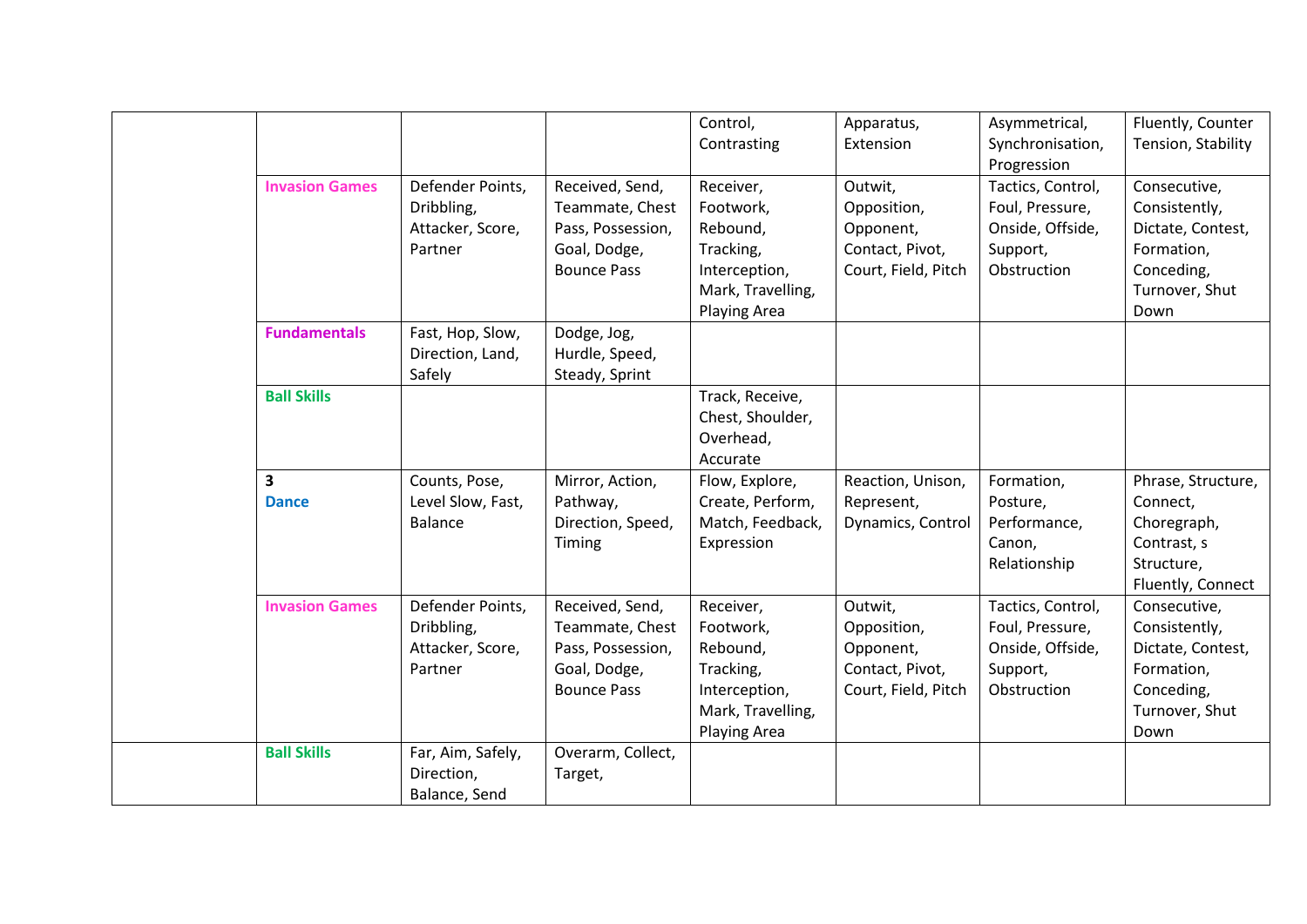|                                         |                                                               |                                                                                               | Control,<br>Contrasting                                                                               | Apparatus,<br>Extension                                                       | Asymmetrical,<br>Synchronisation,                                                   | Fluently, Counter<br>Tension, Stability                                                                  |
|-----------------------------------------|---------------------------------------------------------------|-----------------------------------------------------------------------------------------------|-------------------------------------------------------------------------------------------------------|-------------------------------------------------------------------------------|-------------------------------------------------------------------------------------|----------------------------------------------------------------------------------------------------------|
| <b>Invasion Games</b>                   | Defender Points,                                              | Received, Send,                                                                               | Receiver,                                                                                             | Outwit,                                                                       | Progression<br>Tactics, Control,                                                    | Consecutive,                                                                                             |
|                                         | Dribbling,<br>Attacker, Score,<br>Partner                     | Teammate, Chest<br>Pass, Possession,<br>Goal, Dodge,                                          | Footwork,<br>Rebound,<br>Tracking,                                                                    | Opposition,<br>Opponent,<br>Contact, Pivot,                                   | Foul, Pressure,<br>Onside, Offside,<br>Support,                                     | Consistently,<br>Dictate, Contest,<br>Formation,                                                         |
|                                         |                                                               | <b>Bounce Pass</b>                                                                            | Interception,<br>Mark, Travelling,<br><b>Playing Area</b>                                             | Court, Field, Pitch                                                           | Obstruction                                                                         | Conceding,<br>Turnover, Shut<br>Down                                                                     |
| <b>Fundamentals</b>                     | Fast, Hop, Slow,<br>Direction, Land,<br>Safely                | Dodge, Jog,<br>Hurdle, Speed,<br>Steady, Sprint                                               |                                                                                                       |                                                                               |                                                                                     |                                                                                                          |
| <b>Ball Skills</b>                      |                                                               |                                                                                               | Track, Receive,<br>Chest, Shoulder,<br>Overhead,<br>Accurate                                          |                                                                               |                                                                                     |                                                                                                          |
| $\overline{\mathbf{3}}$<br><b>Dance</b> | Counts, Pose,<br>Level Slow, Fast,<br><b>Balance</b>          | Mirror, Action,<br>Pathway,<br>Direction, Speed,<br>Timing                                    | Flow, Explore,<br>Create, Perform,<br>Match, Feedback,<br>Expression                                  | Reaction, Unison,<br>Represent,<br>Dynamics, Control                          | Formation,<br>Posture,<br>Performance,<br>Canon,<br>Relationship                    | Phrase, Structure,<br>Connect,<br>Choregraph,<br>Contrast, s<br>Structure,<br>Fluently, Connect          |
| <b>Invasion Games</b>                   | Defender Points,<br>Dribbling,<br>Attacker, Score,<br>Partner | Received, Send,<br>Teammate, Chest<br>Pass, Possession,<br>Goal, Dodge,<br><b>Bounce Pass</b> | Receiver,<br>Footwork,<br>Rebound,<br>Tracking,<br>Interception,<br>Mark, Travelling,<br>Playing Area | Outwit,<br>Opposition,<br>Opponent,<br>Contact, Pivot,<br>Court, Field, Pitch | Tactics, Control,<br>Foul, Pressure,<br>Onside, Offside,<br>Support,<br>Obstruction | Consecutive,<br>Consistently,<br>Dictate, Contest,<br>Formation,<br>Conceding,<br>Turnover, Shut<br>Down |
| <b>Ball Skills</b>                      | Far, Aim, Safely,<br>Direction,<br>Balance, Send              | Overarm, Collect,<br>Target,                                                                  |                                                                                                       |                                                                               |                                                                                     |                                                                                                          |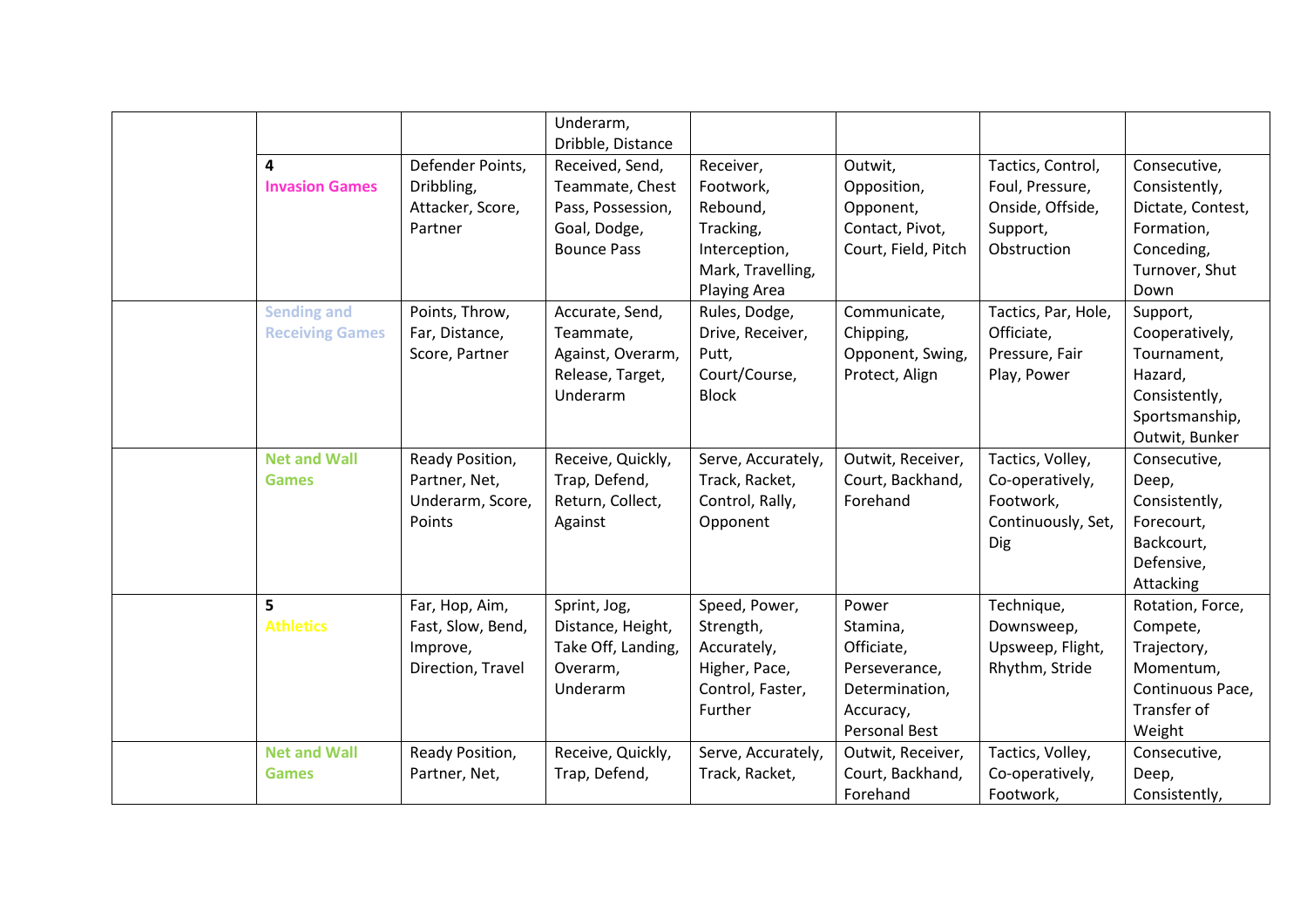| 4<br><b>Invasion Games</b>                   | Defender Points,<br>Dribbling,<br>Attacker, Score,<br>Partner        | Underarm,<br>Dribble, Distance<br>Received, Send,<br>Teammate, Chest<br>Pass, Possession,<br>Goal, Dodge,<br><b>Bounce Pass</b> | Receiver,<br>Footwork,<br>Rebound,<br>Tracking,<br>Interception,<br>Mark, Travelling,<br>Playing Area | Outwit,<br>Opposition,<br>Opponent,<br>Contact, Pivot,<br>Court, Field, Pitch                    | Tactics, Control,<br>Foul, Pressure,<br>Onside, Offside,<br>Support,<br>Obstruction | Consecutive,<br>Consistently,<br>Dictate, Contest,<br>Formation,<br>Conceding,<br>Turnover, Shut<br>Down  |
|----------------------------------------------|----------------------------------------------------------------------|---------------------------------------------------------------------------------------------------------------------------------|-------------------------------------------------------------------------------------------------------|--------------------------------------------------------------------------------------------------|-------------------------------------------------------------------------------------|-----------------------------------------------------------------------------------------------------------|
| <b>Sending and</b><br><b>Receiving Games</b> | Points, Throw,<br>Far, Distance,<br>Score, Partner                   | Accurate, Send,<br>Teammate,<br>Against, Overarm,<br>Release, Target,<br>Underarm                                               | Rules, Dodge,<br>Drive, Receiver,<br>Putt,<br>Court/Course,<br><b>Block</b>                           | Communicate,<br>Chipping,<br>Opponent, Swing,<br>Protect, Align                                  | Tactics, Par, Hole,<br>Officiate,<br>Pressure, Fair<br>Play, Power                  | Support,<br>Cooperatively,<br>Tournament,<br>Hazard,<br>Consistently,<br>Sportsmanship,<br>Outwit, Bunker |
| <b>Net and Wall</b><br><b>Games</b>          | Ready Position,<br>Partner, Net,<br>Underarm, Score,<br>Points       | Receive, Quickly,<br>Trap, Defend,<br>Return, Collect,<br>Against                                                               | Serve, Accurately,<br>Track, Racket,<br>Control, Rally,<br>Opponent                                   | Outwit, Receiver,<br>Court, Backhand,<br>Forehand                                                | Tactics, Volley,<br>Co-operatively,<br>Footwork,<br>Continuously, Set,<br>Dig       | Consecutive,<br>Deep,<br>Consistently,<br>Forecourt,<br>Backcourt,<br>Defensive,<br>Attacking             |
| 5<br><b>Athletics</b>                        | Far, Hop, Aim,<br>Fast, Slow, Bend,<br>Improve,<br>Direction, Travel | Sprint, Jog,<br>Distance, Height,<br>Take Off, Landing,<br>Overarm,<br>Underarm                                                 | Speed, Power,<br>Strength,<br>Accurately,<br>Higher, Pace,<br>Control, Faster,<br>Further             | Power<br>Stamina,<br>Officiate,<br>Perseverance,<br>Determination,<br>Accuracy,<br>Personal Best | Technique,<br>Downsweep,<br>Upsweep, Flight,<br>Rhythm, Stride                      | Rotation, Force,<br>Compete,<br>Trajectory,<br>Momentum,<br>Continuous Pace,<br>Transfer of<br>Weight     |
| <b>Net and Wall</b><br><b>Games</b>          | Ready Position,<br>Partner, Net,                                     | Receive, Quickly,<br>Trap, Defend,                                                                                              | Serve, Accurately,<br>Track, Racket,                                                                  | Outwit, Receiver,<br>Court, Backhand,<br>Forehand                                                | Tactics, Volley,<br>Co-operatively,<br>Footwork,                                    | Consecutive,<br>Deep,<br>Consistently,                                                                    |